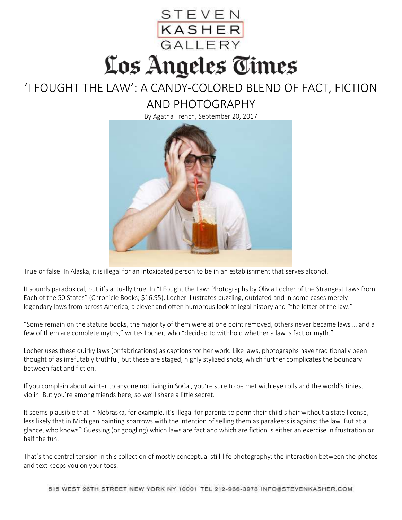## STEVEN<br><mark>KASHER</mark><br>GALLERY Los Angeles Times

## 'I FOUGHT THE LAW': A CANDY-COLORED BLEND OF FACT, FICTION AND PHOTOGRAPHY

By Agatha French, September 20, 2017



True or false: In Alaska, it is illegal for an intoxicated person to be in an establishment that serves alcohol.

It sounds paradoxical, but it's actually true. In "I Fought the Law: Photographs by Olivia Locher of the Strangest Laws from Each of the 50 States" (Chronicle Books; \$16.95), Locher illustrates puzzling, outdated and in some cases merely legendary laws from across America, a clever and often humorous look at legal history and "the letter of the law."

"Some remain on the statute books, the majority of them were at one point removed, others never became laws … and a few of them are complete myths," writes Locher, who "decided to withhold whether a law is fact or myth."

Locher uses these quirky laws (or fabrications) as captions for her work. Like laws, photographs have traditionally been thought of as irrefutably truthful, but these are staged, highly stylized shots, which further complicates the boundary between fact and fiction.

If you complain about winter to anyone not living in SoCal, you're sure to be met with eye rolls and the world's tiniest violin. But you're among friends here, so we'll share a little secret.

It seems plausible that in Nebraska, for example, it's illegal for parents to perm their child's hair without a state license, less likely that in Michigan painting sparrows with the intention of selling them as parakeets is against the law. But at a glance, who knows? Guessing (or googling) which laws are fact and which are fiction is either an exercise in frustration or half the fun.

That's the central tension in this collection of mostly conceptual still-life photography: the interaction between the photos and text keeps you on your toes.